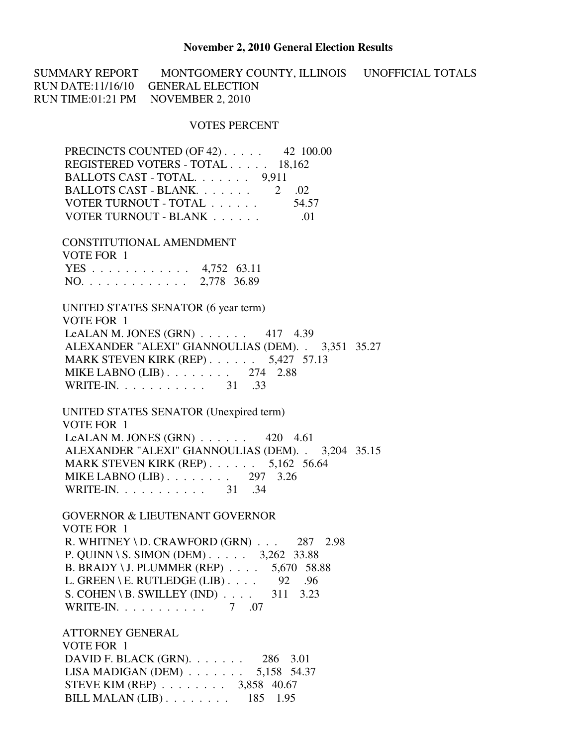## **November 2, 2010 General Election Results**

SUMMARY REPORT MONTGOMERY COUNTY, ILLINOIS UNOFFICIAL TOTALS RUN DATE:11/16/10 GENERAL ELECTION RUN TIME:01:21 PM NOVEMBER 2, 2010

## VOTES PERCENT

| PRECINCTS COUNTED (OF 42) 42 100.00                  |  |
|------------------------------------------------------|--|
| REGISTERED VOTERS - TOTAL 18,162                     |  |
| BALLOTS CAST - TOTAL. 9,911                          |  |
| BALLOTS CAST - BLANK. 2 .02                          |  |
| VOTER TURNOUT - TOTAL 54.57                          |  |
|                                                      |  |
| CONSTITUTIONAL AMENDMENT                             |  |
| VOTE FOR 1                                           |  |
| YES 4,752 63.11                                      |  |
| NO. 2,778 36.89                                      |  |
| UNITED STATES SENATOR (6 year term)                  |  |
| VOTE FOR 1                                           |  |
| LeALAN M. JONES (GRN) $\ldots$ 417 4.39              |  |
| ALEXANDER "ALEXI" GIANNOULIAS (DEM). . 3,351 35.27   |  |
| MARK STEVEN KIRK (REP) 5,427 57.13                   |  |
| MIKE LABNO $(LIB)$ 274 2.88                          |  |
| WRITE-IN. 31 .33                                     |  |
| UNITED STATES SENATOR (Unexpired term)               |  |
| VOTE FOR 1                                           |  |
| LeALAN M. JONES (GRN) $\ldots$ 420 4.61              |  |
| ALEXANDER "ALEXI" GIANNOULIAS (DEM). . 3,204 35.15   |  |
| MARK STEVEN KIRK (REP) $\ldots$ 5,162 56.64          |  |
| MIKE LABNO $(LIB)$ 297 3.26                          |  |
| WRITE-IN. $\ldots$ 31 .34                            |  |
| <b>GOVERNOR &amp; LIEUTENANT GOVERNOR</b>            |  |
| VOTE FOR 1                                           |  |
| R. WHITNEY \ D. CRAWFORD $(GRN)$ 287 2.98            |  |
| P. QUINN \ S. SIMON (DEM) $\ldots$ 3,262 33.88       |  |
| B. BRADY \ J. PLUMMER (REP) 5,670 58.88              |  |
| L. GREEN \ E. RUTLEDGE (LIB) $\ldots$ .<br>92<br>.96 |  |
| $S. COHEN \ B. SWILLEY (IND)$<br>311<br>3.23         |  |
| WRITE-IN. $\ldots$<br>7 .07                          |  |
|                                                      |  |
| <b>ATTORNEY GENERAL</b>                              |  |
| $V\Omega$ is $E\Omega$ is $1$                        |  |

 VOTE FOR 1 DAVID F. BLACK (GRN). . . . . . . 286 3.01 LISA MADIGAN (DEM) . . . . . . . 5,158 54.37 STEVE KIM (REP) . . . . . . . . 3,858 40.67 BILL MALAN (LIB) . . . . . . . . 185 1.95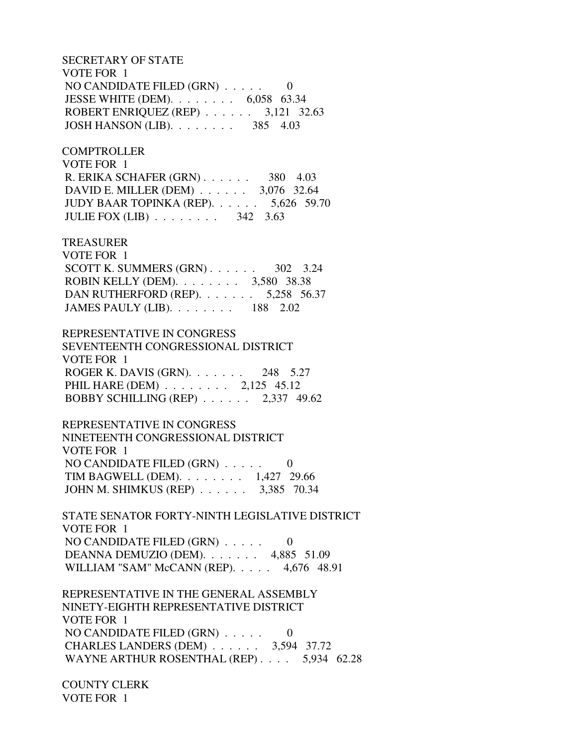SECRETARY OF STATE VOTE FOR 1 NO CANDIDATE FILED (GRN) . . . . . 0 JESSE WHITE (DEM). . . . . . . . 6,058 63.34 ROBERT ENRIQUEZ (REP) . . . . . . 3,121 32.63 JOSH HANSON (LIB). . . . . . . . 385 4.03

**COMPTROLLER**  VOTE FOR 1 R. ERIKA SCHAFER (GRN) . . . . . . 380 4.03 DAVID E. MILLER (DEM) . . . . . . 3,076 32.64 JUDY BAAR TOPINKA (REP). . . . . . 5,626 59.70 JULIE FOX (LIB) . . . . . . . . 342 3.63

TREASURER

 VOTE FOR 1 SCOTT K. SUMMERS  $(GRN)$ . . . . . . . 302 3.24 ROBIN KELLY (DEM). . . . . . . . 3,580 38.38 DAN RUTHERFORD (REP). . . . . . . 5,258 56.37 JAMES PAULY (LIB). . . . . . . . 188 2.02

 REPRESENTATIVE IN CONGRESS SEVENTEENTH CONGRESSIONAL DISTRICT VOTE FOR 1 ROGER K. DAVIS (GRN). . . . . . . 248 5.27 PHIL HARE (DEM) . . . . . . . . 2,125 45.12 BOBBY SCHILLING (REP) . . . . . . 2,337 49.62

 REPRESENTATIVE IN CONGRESS NINETEENTH CONGRESSIONAL DISTRICT VOTE FOR 1 NO CANDIDATE FILED (GRN) . . . . . 0 TIM BAGWELL (DEM). . . . . . . . 1,427 29.66 JOHN M. SHIMKUS (REP) . . . . . . 3,385 70.34

 STATE SENATOR FORTY-NINTH LEGISLATIVE DISTRICT VOTE FOR 1 NO CANDIDATE FILED (GRN) . . . . . 0 DEANNA DEMUZIO (DEM). . . . . . . 4,885 51.09 WILLIAM "SAM" McCANN (REP). . . . . 4,676 48.91

 REPRESENTATIVE IN THE GENERAL ASSEMBLY NINETY-EIGHTH REPRESENTATIVE DISTRICT VOTE FOR 1 NO CANDIDATE FILED (GRN) . . . . . 0 CHARLES LANDERS (DEM) . . . . . . 3,594 37.72 WAYNE ARTHUR ROSENTHAL (REP) . . . . 5,934 62.28

 COUNTY CLERK VOTE FOR 1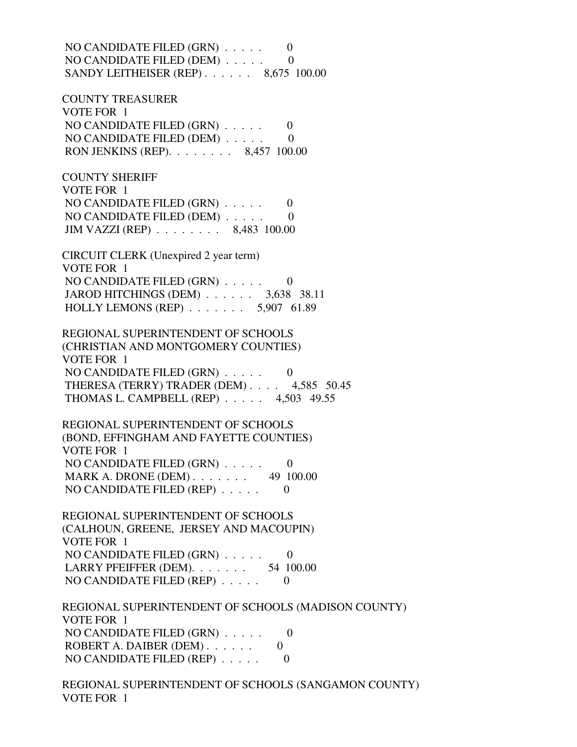NO CANDIDATE FILED (GRN) . . . . . 0 NO CANDIDATE FILED (DEM) . . . . . 0 SANDY LEITHEISER (REP) . . . . . . 8,675 100.00

 COUNTY TREASURER VOTE FOR 1 NO CANDIDATE FILED  $(GRN)$ ..... 0 NO CANDIDATE FILED (DEM) . . . . . 0 RON JENKINS (REP). . . . . . . . 8,457 100.00

 COUNTY SHERIFF VOTE FOR 1 NO CANDIDATE FILED (GRN) . . . . . 0 NO CANDIDATE FILED (DEM) . . . . . 0 JIM VAZZI (REP) . . . . . . . . 8,483 100.00

 CIRCUIT CLERK (Unexpired 2 year term) VOTE FOR 1 NO CANDIDATE FILED (GRN) . . . . . 0 JAROD HITCHINGS (DEM) . . . . . . 3,638 38.11 HOLLY LEMONS (REP) . . . . . . . 5,907 61.89

 REGIONAL SUPERINTENDENT OF SCHOOLS (CHRISTIAN AND MONTGOMERY COUNTIES) VOTE FOR 1 NO CANDIDATE FILED  $(GRN)$  . . . . . 0 THERESA (TERRY) TRADER (DEM) . . . . 4,585 50.45 THOMAS L. CAMPBELL (REP) . . . . . 4,503 49.55

 REGIONAL SUPERINTENDENT OF SCHOOLS (BOND, EFFINGHAM AND FAYETTE COUNTIES) VOTE FOR 1 NO CANDIDATE FILED (GRN) . . . . . 0 MARK A. DRONE (DEM) . . . . . . . 49 100.00 NO CANDIDATE FILED (REP)  $\ldots$  . . . . 0

 REGIONAL SUPERINTENDENT OF SCHOOLS (CALHOUN, GREENE, JERSEY AND MACOUPIN) VOTE FOR 1 NO CANDIDATE FILED (GRN) . . . . . 0 LARRY PFEIFFER (DEM). . . . . . . . 54 100.00 NO CANDIDATE FILED (REP) . . . . . 0

 REGIONAL SUPERINTENDENT OF SCHOOLS (MADISON COUNTY) VOTE FOR 1 NO CANDIDATE FILED (GRN) . . . . . 0 ROBERT A. DAIBER (DEM) . . . . . . 0 NO CANDIDATE FILED (REP) . . . . . 0

 REGIONAL SUPERINTENDENT OF SCHOOLS (SANGAMON COUNTY) VOTE FOR 1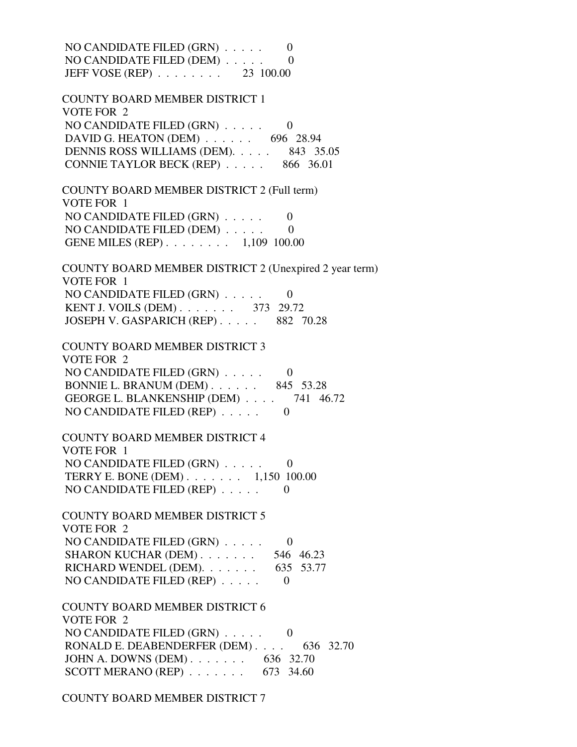NO CANDIDATE FILED (GRN) . . . . . 0 NO CANDIDATE FILED (DEM) . . . . . 0 JEFF VOSE (REP) . . . . . . . . 23 100.00 COUNTY BOARD MEMBER DISTRICT 1 VOTE FOR 2 NO CANDIDATE FILED  $(GRN)$ ..... 0 DAVID G. HEATON (DEM) . . . . . . 696 28.94 DENNIS ROSS WILLIAMS (DEM). . . . . 843 35.05 CONNIE TAYLOR BECK (REP) . . . . . 866 36.01 COUNTY BOARD MEMBER DISTRICT 2 (Full term) VOTE FOR 1 NO CANDIDATE FILED (GRN) . . . . . 0 NO CANDIDATE FILED (DEM)  $\ldots$  . . . . 0 GENE MILES (REP) . . . . . . . . 1,109 100.00 COUNTY BOARD MEMBER DISTRICT 2 (Unexpired 2 year term) VOTE FOR 1 NO CANDIDATE FILED  $(GRN)$  . . . . . 0 KENT J. VOILS (DEM) . . . . . . . . 373 29.72 JOSEPH V. GASPARICH (REP) . . . . . 882 70.28 COUNTY BOARD MEMBER DISTRICT 3 VOTE FOR 2 NO CANDIDATE FILED  $(GRN)$  . . . . . 0 BONNIE L. BRANUM (DEM) . . . . . . 845 53.28 GEORGE L. BLANKENSHIP (DEM) . . . . 741 46.72 NO CANDIDATE FILED (REP)  $\ldots$  . . . . 0 COUNTY BOARD MEMBER DISTRICT 4 VOTE FOR 1 NO CANDIDATE FILED (GRN) . . . . . 0 TERRY E. BONE (DEM) . . . . . . . 1,150 100.00 NO CANDIDATE FILED (REP) . . . . . 0 COUNTY BOARD MEMBER DISTRICT 5 VOTE FOR 2 NO CANDIDATE FILED (GRN) . . . . . 0 SHARON KUCHAR (DEM) . . . . . . . 546 46.23 RICHARD WENDEL (DEM). . . . . . . 635 53.77 NO CANDIDATE FILED (REP) . . . . . 0 COUNTY BOARD MEMBER DISTRICT 6 VOTE FOR 2 NO CANDIDATE FILED  $(GRN)$  . . . . . . 0 RONALD E. DEABENDERFER (DEM) . . . . 636 32.70 JOHN A. DOWNS (DEM) . . . . . . . 636 32.70 SCOTT MERANO (REP) . . . . . . . 673 34.60

COUNTY BOARD MEMBER DISTRICT 7